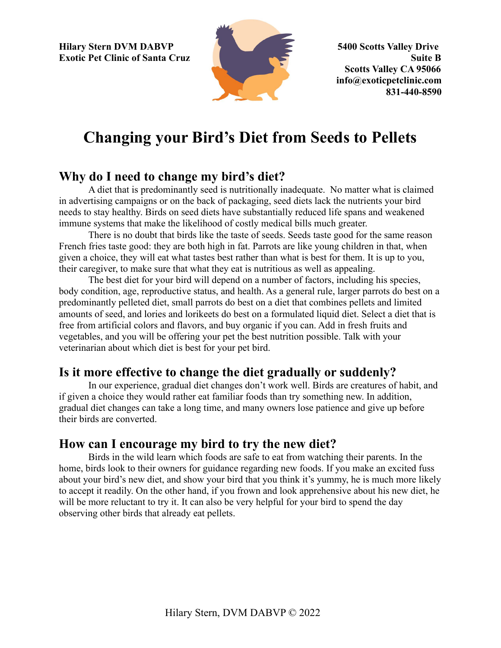**Hilary Stern DVM DABVP 5400 Scotts Valley Drive Exotic Pet Clinic of Santa Cruz Suite B** 



**Scotts Valley CA 95066 info@exoticpetclinic.com 831-440-8590**

# **Changing your Bird's Diet from Seeds to Pellets**

## **Why do I need to change my bird's diet?**

A diet that is predominantly seed is nutritionally inadequate. No matter what is claimed in advertising campaigns or on the back of packaging, seed diets lack the nutrients your bird needs to stay healthy. Birds on seed diets have substantially reduced life spans and weakened immune systems that make the likelihood of costly medical bills much greater.

There is no doubt that birds like the taste of seeds. Seeds taste good for the same reason French fries taste good: they are both high in fat. Parrots are like young children in that, when given a choice, they will eat what tastes best rather than what is best for them. It is up to you, their caregiver, to make sure that what they eat is nutritious as well as appealing.

The best diet for your bird will depend on a number of factors, including his species, body condition, age, reproductive status, and health. As a general rule, larger parrots do best on a predominantly pelleted diet, small parrots do best on a diet that combines pellets and limited amounts of seed, and lories and lorikeets do best on a formulated liquid diet. Select a diet that is free from artificial colors and flavors, and buy organic if you can. Add in fresh fruits and vegetables, and you will be offering your pet the best nutrition possible. Talk with your veterinarian about which diet is best for your pet bird.

# **Is it more effective to change the diet gradually or suddenly?**

In our experience, gradual diet changes don't work well. Birds are creatures of habit, and if given a choice they would rather eat familiar foods than try something new. In addition, gradual diet changes can take a long time, and many owners lose patience and give up before their birds are converted.

## **How can I encourage my bird to try the new diet?**

Birds in the wild learn which foods are safe to eat from watching their parents. In the home, birds look to their owners for guidance regarding new foods. If you make an excited fuss about your bird's new diet, and show your bird that you think it's yummy, he is much more likely to accept it readily. On the other hand, if you frown and look apprehensive about his new diet, he will be more reluctant to try it. It can also be very helpful for your bird to spend the day observing other birds that already eat pellets.